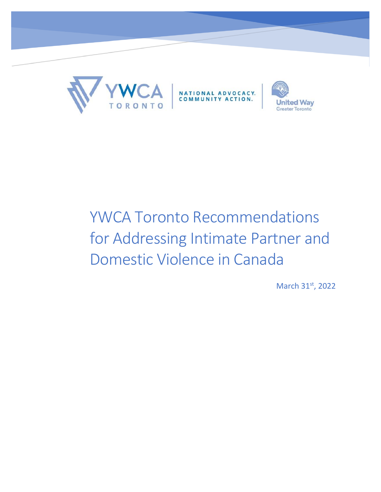

# YWCA Toronto Recommendations for Addressing Intimate Partner and Domestic Violence in Canada

March 31st, 2022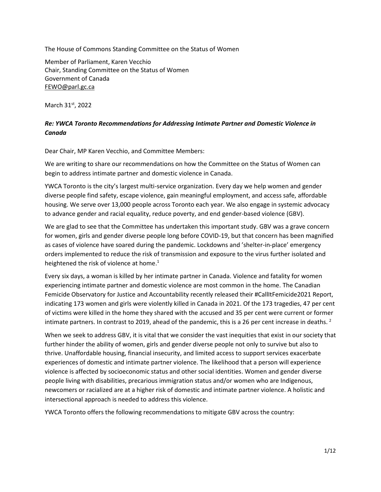The House of Commons Standing Committee on the Status of Women

Member of Parliament, Karen Vecchio Chair, Standing Committee on the Status of Women Government of Canada [FEWO@parl.gc.ca](mailto:FEWO@parl.gc.ca)

March 31<sup>st</sup>, 2022

## *Re: YWCA Toronto Recommendations for Addressing Intimate Partner and Domestic Violence in Canada*

Dear Chair, MP Karen Vecchio, and Committee Members:

We are writing to share our recommendations on how the Committee on the Status of Women can begin to address intimate partner and domestic violence in Canada.

YWCA Toronto is the city's largest multi-service organization. Every day we help women and gender diverse people find safety, escape violence, gain meaningful employment, and access safe, affordable housing. We serve over 13,000 people across Toronto each year. We also engage in systemic advocacy to advance gender and racial equality, reduce poverty, and end gender-based violence (GBV).

We are glad to see that the Committee has undertaken this important study. GBV was a grave concern for women, girls and gender diverse people long before COVID-19, but that concern has been magnified as cases of violence have soared during the pandemic. Lockdowns and 'shelter-in-place' emergency orders implemented to reduce the risk of transmission and exposure to the virus further isolated and heightened the risk of violence at home.<sup>1</sup>

Every six days, a woman is killed by her intimate partner in Canada. Violence and fatality for women experiencing intimate partner and domestic violence are most common in the home. The Canadian Femicide Observatory for Justice and Accountability recently released their #CallItFemicide2021 Report, indicating 173 women and girls were violently killed in Canada in 2021. Of the 173 tragedies, 47 per cent of victims were killed in the home they shared with the accused and 35 per cent were current or former intimate partners. In contrast to 2019, ahead of the pandemic, this is a 26 per cent increase in deaths.<sup>2</sup>

When we seek to address GBV, it is vital that we consider the vast inequities that exist in our society that further hinder the ability of women, girls and gender diverse people not only to survive but also to thrive. Unaffordable housing, financial insecurity, and limited access to support services exacerbate experiences of domestic and intimate partner violence. The likelihood that a person will experience violence is affected by socioeconomic status and other social identities. Women and gender diverse people living with disabilities, precarious immigration status and/or women who are Indigenous, newcomers or racialized are at a higher risk of domestic and intimate partner violence. A holistic and intersectional approach is needed to address this violence.

YWCA Toronto offers the following recommendations to mitigate GBV across the country: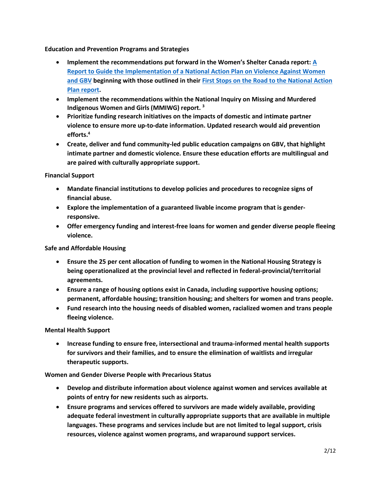**Education and Prevention Programs and Strategies**

- **Implement the recommendations put forward in the Women's Shelter Canada report: [A](https://nationalactionplan.ca/wp-content/uploads/2021/06/NAP-Final-Report.pdf)  [Report to Guide the Implementation of a National Action Plan on Violence Against Women](https://nationalactionplan.ca/wp-content/uploads/2021/06/NAP-Final-Report.pdf)  [and GBV](https://nationalactionplan.ca/wp-content/uploads/2021/06/NAP-Final-Report.pdf) beginning with those outlined in their [First Stops on the Road to the National Action](https://nationalactionplan.ca/wp-content/uploads/2021/06/First-Stops-on-the-Road-to-the-NAP.pdf)  [Plan report.](https://nationalactionplan.ca/wp-content/uploads/2021/06/First-Stops-on-the-Road-to-the-NAP.pdf)**
- **Implement the recommendations within the National Inquiry on Missing and Murdered Indigenous Women and Girls (MMIWG) report. <sup>3</sup>**
- **Prioritize funding research initiatives on the impacts of domestic and intimate partner violence to ensure more up-to-date information. Updated research would aid prevention efforts.<sup>4</sup>**
- **Create, deliver and fund community-led public education campaigns on GBV, that highlight intimate partner and domestic violence. Ensure these education efforts are multilingual and are paired with culturally appropriate support.**

**Financial Support**

- **Mandate financial institutions to develop policies and procedures to recognize signs of financial abuse.**
- **Explore the implementation of a guaranteed livable income program that is genderresponsive.**
- **Offer emergency funding and interest-free loans for women and gender diverse people fleeing violence.**

**Safe and Affordable Housing**

- **Ensure the 25 per cent allocation of funding to women in the National Housing Strategy is being operationalized at the provincial level and reflected in federal-provincial/territorial agreements.**
- **Ensure a range of housing options exist in Canada, including supportive housing options; permanent, affordable housing; transition housing; and shelters for women and trans people.**
- **Fund research into the housing needs of disabled women, racialized women and trans people fleeing violence.**

**Mental Health Support**

• **Increase funding to ensure free, intersectional and trauma-informed mental health supports for survivors and their families, and to ensure the elimination of waitlists and irregular therapeutic supports.** 

**Women and Gender Diverse People with Precarious Status**

- **Develop and distribute information about violence against women and services available at points of entry for new residents such as airports.**
- **Ensure programs and services offered to survivors are made widely available, providing adequate federal investment in culturally appropriate supports that are available in multiple languages. These programs and services include but are not limited to legal support, crisis resources, violence against women programs, and wraparound support services.**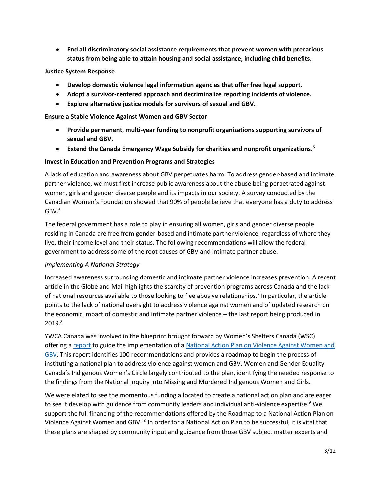• **End all discriminatory social assistance requirements that prevent women with precarious status from being able to attain housing and social assistance, including child benefits.**

#### **Justice System Response**

- **Develop domestic violence legal information agencies that offer free legal support.**
- **Adopt a survivor-centered approach and decriminalize reporting incidents of violence.**
- **Explore alternative justice models for survivors of sexual and GBV.**

**Ensure a Stable Violence Against Women and GBV Sector** 

- **Provide permanent, multi-year funding to nonprofit organizations supporting survivors of sexual and GBV.**
- **Extend the Canada Emergency Wage Subsidy for charities and nonprofit organizations.<sup>5</sup>**

#### **Invest in Education and Prevention Programs and Strategies**

A lack of education and awareness about GBV perpetuates harm. To address gender-based and intimate partner violence, we must first increase public awareness about the abuse being perpetrated against women, girls and gender diverse people and its impacts in our society. A survey conducted by the Canadian Women's Foundation showed that 90% of people believe that everyone has a duty to address  $\text{GBV.}^6$ 

The federal government has a role to play in ensuring all women, girls and gender diverse people residing in Canada are free from gender-based and intimate partner violence, regardless of where they live, their income level and their status. The following recommendations will allow the federal government to address some of the root causes of GBV and intimate partner abuse.

#### *Implementing A National Strategy*

Increased awareness surrounding domestic and intimate partner violence increases prevention. A recent article in the Globe and Mail highlights the scarcity of prevention programs across Canada and the lack of national resources available to those looking to flee abusive relationships.<sup>7</sup> In particular, the article points to the lack of national oversight to address violence against women and of updated research on the economic impact of domestic and intimate partner violence – the last report being produced in 2019.<sup>8</sup>

YWCA Canada was involved in the blueprint brought forward by Women's Shelters Canada (WSC) offering [a report](https://nationalactionplan.ca/wp-content/uploads/2021/06/NAP-Final-Report.pdf) to guide the implementation of a [National Action Plan on Violence Against Women and](https://nationalactionplan.ca/wp-content/uploads/2021/06/NAP-Final-Report.pdf)  [GBV.](https://nationalactionplan.ca/wp-content/uploads/2021/06/NAP-Final-Report.pdf) This report identifies 100 recommendations and provides a roadmap to begin the process of instituting a national plan to address violence against women and GBV. Women and Gender Equality Canada's Indigenous Women's Circle largely contributed to the plan, identifying the needed response to the findings from the National Inquiry into Missing and Murdered Indigenous Women and Girls.

We were elated to see the momentous funding allocated to create a national action plan and are eager to see it develop with guidance from community leaders and individual anti-violence expertise.<sup>9</sup> We support the full financing of the recommendations offered by the Roadmap to a National Action Plan on Violence Against Women and GBV.<sup>10</sup> In order for a National Action Plan to be successful, it is vital that these plans are shaped by community input and guidance from those GBV subject matter experts and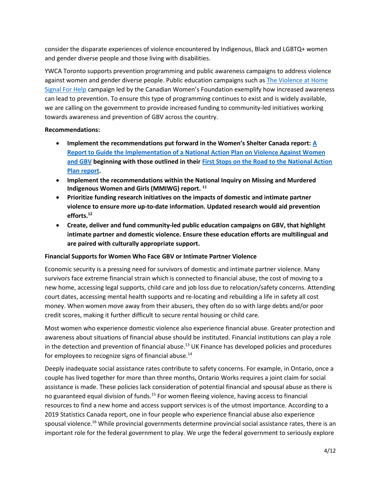consider the disparate experiences of violence encountered by Indigenous, Black and LGBTQ+ women and gender diverse people and those living with disabilities.

YWCA Toronto supports prevention programming and public awareness campaigns to address violence against women and gender diverse people. Public education campaigns such a[s The Violence at Home](https://canadianwomen.org/signal-for-help/)  [Signal For Help](https://canadianwomen.org/signal-for-help/) campaign led by the Canadian Women's Foundation exemplify how increased awareness can lead to prevention. To ensure this type of programming continues to exist and is widely available, we are calling on the government to provide increased funding to community-led initiatives working towards awareness and prevention of GBV across the country.

## **Recommendations:**

- **Implement the recommendations put forward in the Women's Shelter Canada report: [A](https://nationalactionplan.ca/wp-content/uploads/2021/06/NAP-Final-Report.pdf)  [Report to Guide the Implementation of a National Action Plan on Violence Against Women](https://nationalactionplan.ca/wp-content/uploads/2021/06/NAP-Final-Report.pdf)  [and GBV](https://nationalactionplan.ca/wp-content/uploads/2021/06/NAP-Final-Report.pdf) beginning with those outlined in their [First Stops on the Road to the National Action](https://nationalactionplan.ca/wp-content/uploads/2021/06/First-Stops-on-the-Road-to-the-NAP.pdf)  [Plan report.](https://nationalactionplan.ca/wp-content/uploads/2021/06/First-Stops-on-the-Road-to-the-NAP.pdf)**
- **Implement the recommendations within the National Inquiry on Missing and Murdered Indigenous Women and Girls (MMIWG) report. 11**
- **Prioritize funding research initiatives on the impacts of domestic and intimate partner violence to ensure more up-to-date information. Updated research would aid prevention efforts. 12**
- **Create, deliver and fund community-led public education campaigns on GBV, that highlight intimate partner and domestic violence. Ensure these education efforts are multilingual and are paired with culturally appropriate support.**

## **Financial Supports for Women Who Face GBV or Intimate Partner Violence**

Economic security is a pressing need for survivors of domestic and intimate partner violence. Many survivors face extreme financial strain which is connected to financial abuse, the cost of moving to a new home, accessing legal supports, child care and job loss due to relocation/safety concerns. Attending court dates, accessing mental health supports and re-locating and rebuilding a life in safety all cost money. When women move away from their abusers, they often do so with large debts and/or poor credit scores, making it further difficult to secure rental housing or child care.

Most women who experience domestic violence also experience financial abuse. Greater protection and awareness about situations of financial abuse should be instituted. Financial institutions can play a role in the detection and prevention of financial abuse.<sup>13</sup> UK Finance has developed policies and procedures for employees to recognize signs of financial abuse.<sup>14</sup>

Deeply inadequate social assistance rates contribute to safety concerns. For example, in Ontario, once a couple has lived together for more than three months, Ontario Works requires a joint claim for social assistance is made. These policies lack consideration of potential financial and spousal abuse as there is no guaranteed equal division of funds.<sup>15</sup> For women fleeing violence, having access to financial resources to find a new home and access support services is of the utmost importance. According to a 2019 Statistics Canada report, one in four people who experience financial abuse also experience spousal violence.<sup>16</sup> While provincial governments determine provincial social assistance rates, there is an important role for the federal government to play. We urge the federal government to seriously explore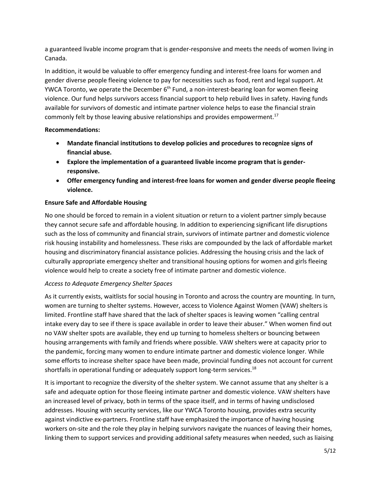a guaranteed livable income program that is gender-responsive and meets the needs of women living in Canada.

In addition, it would be valuable to offer emergency funding and interest-free loans for women and gender diverse people fleeing violence to pay for necessities such as food, rent and legal support. At YWCA Toronto, we operate the December  $6<sup>th</sup>$  Fund, a non-interest-bearing loan for women fleeing violence. Our fund helps survivors access financial support to help rebuild lives in safety. Having funds available for survivors of domestic and intimate partner violence helps to ease the financial strain commonly felt by those leaving abusive relationships and provides empowerment.<sup>17</sup>

## **Recommendations:**

- **Mandate financial institutions to develop policies and procedures to recognize signs of financial abuse.**
- **Explore the implementation of a guaranteed livable income program that is genderresponsive.**
- **Offer emergency funding and interest-free loans for women and gender diverse people fleeing violence.**

# **Ensure Safe and Affordable Housing**

No one should be forced to remain in a violent situation or return to a violent partner simply because they cannot secure safe and affordable housing. In addition to experiencing significant life disruptions such as the loss of community and financial strain, survivors of intimate partner and domestic violence risk housing instability and homelessness. These risks are compounded by the lack of affordable market housing and discriminatory financial assistance policies. Addressing the housing crisis and the lack of culturally appropriate emergency shelter and transitional housing options for women and girls fleeing violence would help to create a society free of intimate partner and domestic violence.

## *Access to Adequate Emergency Shelter Spaces*

As it currently exists, waitlists for social housing in Toronto and across the country are mounting. In turn, women are turning to shelter systems. However, access to Violence Against Women (VAW) shelters is limited. Frontline staff have shared that the lack of shelter spaces is leaving women "calling central intake every day to see if there is space available in order to leave their abuser." When women find out no VAW shelter spots are available, they end up turning to homeless shelters or bouncing between housing arrangements with family and friends where possible. VAW shelters were at capacity prior to the pandemic, forcing many women to endure intimate partner and domestic violence longer. While some efforts to increase shelter space have been made, provincial funding does not account for current shortfalls in operational funding or adequately support long-term services. 18

It is important to recognize the diversity of the shelter system. We cannot assume that any shelter is a safe and adequate option for those fleeing intimate partner and domestic violence. VAW shelters have an increased level of privacy, both in terms of the space itself, and in terms of having undisclosed addresses. Housing with security services, like our YWCA Toronto housing, provides extra security against vindictive ex-partners. Frontline staff have emphasized the importance of having housing workers on-site and the role they play in helping survivors navigate the nuances of leaving their homes, linking them to support services and providing additional safety measures when needed, such as liaising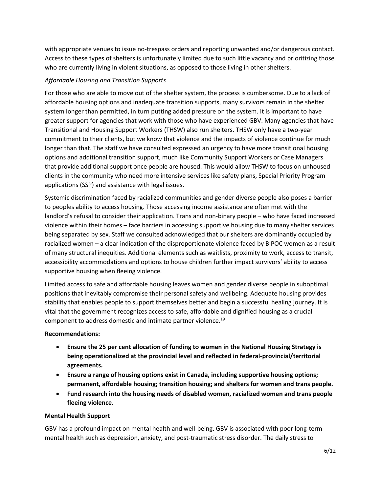with appropriate venues to issue no-trespass orders and reporting unwanted and/or dangerous contact. Access to these types of shelters is unfortunately limited due to such little vacancy and prioritizing those who are currently living in violent situations, as opposed to those living in other shelters.

## *Affordable Housing and Transition Supports*

For those who are able to move out of the shelter system, the process is cumbersome. Due to a lack of affordable housing options and inadequate transition supports, many survivors remain in the shelter system longer than permitted, in turn putting added pressure on the system. It is important to have greater support for agencies that work with those who have experienced GBV. Many agencies that have Transitional and Housing Support Workers (THSW) also run shelters. THSW only have a two-year commitment to their clients, but we know that violence and the impacts of violence continue for much longer than that. The staff we have consulted expressed an urgency to have more transitional housing options and additional transition support, much like Community Support Workers or Case Managers that provide additional support once people are housed. This would allow THSW to focus on unhoused clients in the community who need more intensive services like safety plans, Special Priority Program applications (SSP) and assistance with legal issues.

Systemic discrimination faced by racialized communities and gender diverse people also poses a barrier to peoples ability to access housing. Those accessing income assistance are often met with the landlord's refusal to consider their application. Trans and non-binary people – who have faced increased violence within their homes – face barriers in accessing supportive housing due to many shelter services being separated by sex. Staff we consulted acknowledged that our shelters are dominantly occupied by racialized women – a clear indication of the disproportionate violence faced by BIPOC women as a result of many structural inequities. Additional elements such as waitlists, proximity to work, access to transit, accessibility accommodations and options to house children further impact survivors' ability to access supportive housing when fleeing violence.

Limited access to safe and affordable housing leaves women and gender diverse people in suboptimal positions that inevitably compromise their personal safety and wellbeing. Adequate housing provides stability that enables people to support themselves better and begin a successful healing journey. It is vital that the government recognizes access to safe, affordable and dignified housing as a crucial component to address domestic and intimate partner violence.<sup>19</sup>

## **Recommendations:**

- **Ensure the 25 per cent allocation of funding to women in the National Housing Strategy is being operationalized at the provincial level and reflected in federal-provincial/territorial agreements.**
- **Ensure a range of housing options exist in Canada, including supportive housing options; permanent, affordable housing; transition housing; and shelters for women and trans people.**
- **Fund research into the housing needs of disabled women, racialized women and trans people fleeing violence.**

#### **Mental Health Support**

GBV has a profound impact on mental health and well-being. GBV is associated with poor long-term mental health such as depression, anxiety, and post-traumatic stress disorder. The daily stress to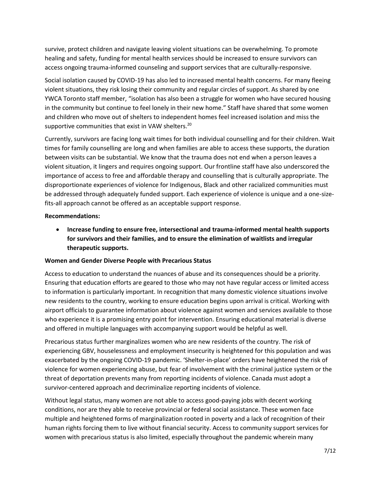survive, protect children and navigate leaving violent situations can be overwhelming. To promote healing and safety, funding for mental health services should be increased to ensure survivors can access ongoing trauma-informed counseling and support services that are culturally-responsive.

Social isolation caused by COVID-19 has also led to increased mental health concerns. For many fleeing violent situations, they risk losing their community and regular circles of support. As shared by one YWCA Toronto staff member, "isolation has also been a struggle for women who have secured housing in the community but continue to feel lonely in their new home." Staff have shared that some women and children who move out of shelters to independent homes feel increased isolation and miss the supportive communities that exist in VAW shelters.<sup>20</sup>

Currently, survivors are facing long wait times for both individual counselling and for their children. Wait times for family counselling are long and when families are able to access these supports, the duration between visits can be substantial. We know that the trauma does not end when a person leaves a violent situation, it lingers and requires ongoing support. Our frontline staff have also underscored the importance of access to free and affordable therapy and counselling that is culturally appropriate. The disproportionate experiences of violence for Indigenous, Black and other racialized communities must be addressed through adequately funded support. Each experience of violence is unique and a one-sizefits-all approach cannot be offered as an acceptable support response.

#### **Recommendations:**

• **Increase funding to ensure free, intersectional and trauma-informed mental health supports for survivors and their families, and to ensure the elimination of waitlists and irregular therapeutic supports.** 

#### **Women and Gender Diverse People with Precarious Status**

Access to education to understand the nuances of abuse and its consequences should be a priority. Ensuring that education efforts are geared to those who may not have regular access or limited access to information is particularly important. In recognition that many domestic violence situations involve new residents to the country, working to ensure education begins upon arrival is critical. Working with airport officials to guarantee information about violence against women and services available to those who experience it is a promising entry point for intervention. Ensuring educational material is diverse and offered in multiple languages with accompanying support would be helpful as well.

Precarious status further marginalizes women who are new residents of the country. The risk of experiencing GBV, houselessness and employment insecurity is heightened for this population and was exacerbated by the ongoing COVID-19 pandemic. 'Shelter-in-place' orders have heightened the risk of violence for women experiencing abuse, but fear of involvement with the criminal justice system or the threat of deportation prevents many from reporting incidents of violence. Canada must adopt a survivor-centered approach and decriminalize reporting incidents of violence.

Without legal status, many women are not able to access good-paying jobs with decent working conditions, nor are they able to receive provincial or federal social assistance. These women face multiple and heightened forms of marginalization rooted in poverty and a lack of recognition of their human rights forcing them to live without financial security. Access to community support services for women with precarious status is also limited, especially throughout the pandemic wherein many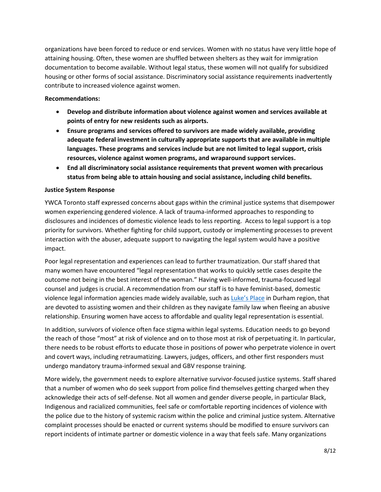organizations have been forced to reduce or end services. Women with no status have very little hope of attaining housing. Often, these women are shuffled between shelters as they wait for immigration documentation to become available. Without legal status, these women will not qualify for subsidized housing or other forms of social assistance. Discriminatory social assistance requirements inadvertently contribute to increased violence against women.

#### **Recommendations:**

- **Develop and distribute information about violence against women and services available at points of entry for new residents such as airports.**
- **Ensure programs and services offered to survivors are made widely available, providing adequate federal investment in culturally appropriate supports that are available in multiple languages. These programs and services include but are not limited to legal support, crisis resources, violence against women programs, and wraparound support services.**
- **End all discriminatory social assistance requirements that prevent women with precarious status from being able to attain housing and social assistance, including child benefits.**

## **Justice System Response**

YWCA Toronto staff expressed concerns about gaps within the criminal justice systems that disempower women experiencing gendered violence. A lack of trauma-informed approaches to responding to disclosures and incidences of domestic violence leads to less reporting. Access to legal support is a top priority for survivors. Whether fighting for child support, custody or implementing processes to prevent interaction with the abuser, adequate support to navigating the legal system would have a positive impact.

Poor legal representation and experiences can lead to further traumatization. Our staff shared that many women have encountered "legal representation that works to quickly settle cases despite the outcome not being in the best interest of the woman." Having well-informed, trauma-focused legal counsel and judges is crucial. A recommendation from our staff is to have feminist-based, domestic violence legal information agencies made widely available, such as [Luke's Place](https://lukesplace.ca/) in Durham region, that are devoted to assisting women and their children as they navigate family law when fleeing an abusive relationship. Ensuring women have access to affordable and quality legal representation is essential.

In addition, survivors of violence often face stigma within legal systems. Education needs to go beyond the reach of those "most" at risk of violence and on to those most at risk of perpetuating it. In particular, there needs to be robust efforts to educate those in positions of power who perpetrate violence in overt and covert ways, including retraumatizing. Lawyers, judges, officers, and other first responders must undergo mandatory trauma-informed sexual and GBV response training.

More widely, the government needs to explore alternative survivor-focused justice systems. Staff shared that a number of women who do seek support from police find themselves getting charged when they acknowledge their acts of self-defense. Not all women and gender diverse people, in particular Black, Indigenous and racialized communities, feel safe or comfortable reporting incidences of violence with the police due to the history of systemic racism within the police and criminal justice system. Alternative complaint processes should be enacted or current systems should be modified to ensure survivors can report incidents of intimate partner or domestic violence in a way that feels safe. Many organizations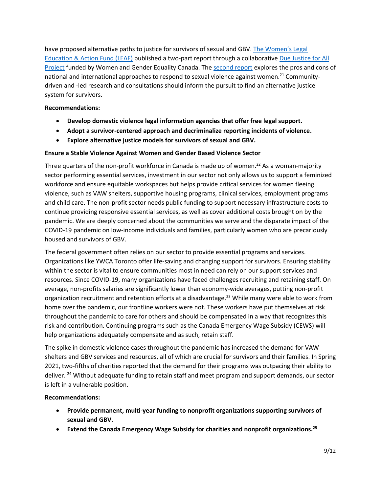have proposed alternative paths to justice for survivors of sexual and GBV. T[he Women's Legal](https://www.leaf.ca/wp-content/uploads/2021/09/Due-Justice-Report-Part-2-FINAL-September-2021.pdf)  [Education & Action Fund \(LEAF\)](https://www.leaf.ca/wp-content/uploads/2021/09/Due-Justice-Report-Part-2-FINAL-September-2021.pdf) published a two-part report through a collaborative [Due Justice for All](https://www.metrac.org/what-we-do/project-highlight/?doing_wp_cron=1647458285.9901630878448486328125)  [Project](https://www.metrac.org/what-we-do/project-highlight/?doing_wp_cron=1647458285.9901630878448486328125) funded by Women and Gender Equality Canada. The [second report](https://www.leaf.ca/wp-content/uploads/2021/09/Due-Justice-Report-Part-2-FINAL-September-2021.pdf) explores the pros and cons of national and international approaches to respond to sexual violence against women.<sup>21</sup> Communitydriven and -led research and consultations should inform the pursuit to find an alternative justice system for survivors.

## **Recommendations:**

- **Develop domestic violence legal information agencies that offer free legal support.**
- **Adopt a survivor-centered approach and decriminalize reporting incidents of violence.**
- **Explore alternative justice models for survivors of sexual and GBV.**

#### **Ensure a Stable Violence Against Women and Gender Based Violence Sector**

Three quarters of the non-profit workforce in Canada is made up of women.<sup>22</sup> As a woman-majority sector performing essential services, investment in our sector not only allows us to support a feminized workforce and ensure equitable workspaces but helps provide critical services for women fleeing violence, such as VAW shelters, supportive housing programs, clinical services, employment programs and child care. The non-profit sector needs public funding to support necessary infrastructure costs to continue providing responsive essential services, as well as cover additional costs brought on by the pandemic. We are deeply concerned about the communities we serve and the disparate impact of the COVID-19 pandemic on low-income individuals and families, particularly women who are precariously housed and survivors of GBV.

The federal government often relies on our sector to provide essential programs and services. Organizations like YWCA Toronto offer life-saving and changing support for survivors. Ensuring stability within the sector is vital to ensure communities most in need can rely on our support services and resources. Since COVID-19, many organizations have faced challenges recruiting and retaining staff. On average, non-profits salaries are significantly lower than economy-wide averages, putting non-profit organization recruitment and retention efforts at a disadvantage.<sup>23</sup> While many were able to work from home over the pandemic, our frontline workers were not. These workers have put themselves at risk throughout the pandemic to care for others and should be compensated in a way that recognizes this risk and contribution. Continuing programs such as the Canada Emergency Wage Subsidy (CEWS) will help organizations adequately compensate and as such, retain staff.

The spike in domestic violence cases throughout the pandemic has increased the demand for VAW shelters and GBV services and resources, all of which are crucial for survivors and their families. In Spring 2021, two-fifths of charities reported that the demand for their programs was outpacing their ability to deliver. <sup>24</sup> Without adequate funding to retain staff and meet program and support demands, our sector is left in a vulnerable position.

#### **Recommendations:**

- **Provide permanent, multi-year funding to nonprofit organizations supporting survivors of sexual and GBV.**
- **Extend the Canada Emergency Wage Subsidy for charities and nonprofit organizations.<sup>25</sup>**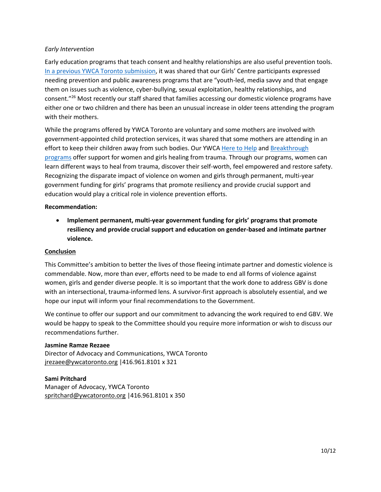#### *Early Intervention*

Early education programs that teach consent and healthy relationships are also useful prevention tools. [In a previous YWCA Toronto submission](https://www.ywcatoronto.org/Assets/YWCA/Documents/Advocacy/YWCA%20Toronto%20Submission%20-%20Federal%20Strategy%20Against%20GBV%20.pdf), it was shared that our Girls' Centre participants expressed needing prevention and public awareness programs that are "youth-led, media savvy and that engage them on issues such as violence, cyber-bullying, sexual exploitation, healthy relationships, and consent."<sup>26</sup> Most recently our staff shared that families accessing our domestic violence programs have either one or two children and there has been an unusual increase in older teens attending the program with their mothers.

While the programs offered by YWCA Toronto are voluntary and some mothers are involved with government-appointed child protection services, it was shared that some mothers are attending in an effort to keep their children away from such bodies. Our YWCA [Here to Help](https://www.ywcatoronto.org/ourprograms/supportservices/parentingafterabuse) and Breakthrough [programs](https://www.ywcatoronto.org/ourprograms/supportservices/parentingafterabuse) offer support for women and girls healing from trauma. Through our programs, women can learn different ways to heal from trauma, discover their self-worth, feel empowered and restore safety. Recognizing the disparate impact of violence on women and girls through permanent, multi-year government funding for girls' programs that promote resiliency and provide crucial support and education would play a critical role in violence prevention efforts.

#### **Recommendation:**

• **Implement permanent, multi-year government funding for girls' programs that promote resiliency and provide crucial support and education on gender-based and intimate partner violence.**

#### **Conclusion**

This Committee's ambition to better the lives of those fleeing intimate partner and domestic violence is commendable. Now, more than ever, efforts need to be made to end all forms of violence against women, girls and gender diverse people. It is so important that the work done to address GBV is done with an intersectional, trauma-informed lens. A survivor-first approach is absolutely essential, and we hope our input will inform your final recommendations to the Government.

We continue to offer our support and our commitment to advancing the work required to end GBV. We would be happy to speak to the Committee should you require more information or wish to discuss our recommendations further.

#### **Jasmine Ramze Rezaee**

Director of Advocacy and Communications, YWCA Toronto [jrezaee@ywcatoronto.org](mailto:jrezaee@ywcatoronto.org) |416.961.8101 x 321

#### **Sami Pritchard**

Manager of Advocacy, YWCA Toronto [spritchard@ywcatoronto.org](mailto:spritchard@ywcatoronto.org) |416.961.8101 x 350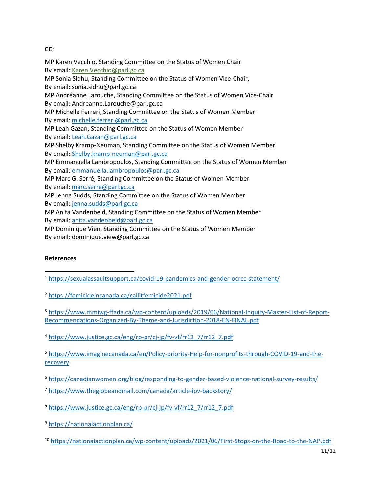## **CC**:

MP Karen Vecchio, Standing Committee on the Status of Women Chair By email: [Karen.Vecchio@parl.gc.ca](mailto:Karen.Vecchio@parl.gc.ca) MP Sonia Sidhu, Standing Committee on the Status of Women Vice-Chair, By email: [sonia.sidhu@parl.gc.ca](mailto:sonia.sidhu@parl.gc.ca) MP Andréanne Larouche, Standing Committee on the Status of Women Vice-Chair By email: [Andreanne.Larouche@parl.gc.ca](mailto:Andreanne.Larouche@parl.gc.ca) MP Michelle Ferreri, Standing Committee on the Status of Women Member By email: [michelle.ferreri@parl.gc.ca](mailto:michelle.ferreri@parl.gc.ca) MP Leah Gazan, Standing Committee on the Status of Women Member By email: [Leah.Gazan@parl.gc.ca](mailto:Leah.Gazan@parl.gc.ca) MP Shelby Kramp-Neuman, Standing Committee on the Status of Women Member By email: [Shelby.kramp-neuman@parl.gc.ca](mailto:Shelby.kramp-neuman@parl.gc.ca) MP Emmanuella Lambropoulos, Standing Committee on the Status of Women Member By email: [emmanuella.lambropoulos@parl.gc.ca](mailto:emmanuella.lambropoulos@parl.gc.ca) MP Marc G. Serré, Standing Committee on the Status of Women Member By email: [marc.serre@parl.gc.ca](mailto:marc.serre@parl.gc.ca) MP Jenna Sudds, Standing Committee on the Status of Women Member By email: [jenna.sudds@parl.gc.ca](mailto:jenna.sudds@parl.gc.ca) MP Anita Vandenbeld, Standing Committee on the Status of Women Member By email: [anita.vandenbeld@parl.gc.ca](mailto:anita.vandenbeld@parl.gc.ca) MP Dominique Vien, Standing Committee on the Status of Women Member By email: dominique.view@parl.gc.ca

## **References**

- <sup>1</sup> <https://sexualassaultsupport.ca/covid-19-pandemics-and-gender-ocrcc-statement/>  $\overline{a}$
- <sup>2</sup> <https://femicideincanada.ca/callitfemicide2021.pdf>

<sup>3</sup> [https://www.mmiwg-ffada.ca/wp-content/uploads/2019/06/National-Inquiry-Master-List-of-Report-](https://www.mmiwg-ffada.ca/wp-content/uploads/2019/06/National-Inquiry-Master-List-of-Report-Recommendations-Organized-By-Theme-and-Jurisdiction-2018-EN-FINAL.pdf)[Recommendations-Organized-By-Theme-and-Jurisdiction-2018-EN-FINAL.pdf](https://www.mmiwg-ffada.ca/wp-content/uploads/2019/06/National-Inquiry-Master-List-of-Report-Recommendations-Organized-By-Theme-and-Jurisdiction-2018-EN-FINAL.pdf)

<sup>4</sup> [https://www.justice.gc.ca/eng/rp-pr/cj-jp/fv-vf/rr12\\_7/rr12\\_7.pdf](https://www.justice.gc.ca/eng/rp-pr/cj-jp/fv-vf/rr12_7/rr12_7.pdf)

<sup>5</sup> [https://www.imaginecanada.ca/en/Policy-priority-Help-for-nonprofits-through-COVID-19-and-the](https://www.imaginecanada.ca/en/Policy-priority-Help-for-nonprofits-through-COVID-19-and-the-recovery)[recovery](https://www.imaginecanada.ca/en/Policy-priority-Help-for-nonprofits-through-COVID-19-and-the-recovery)

- <sup>6</sup> <https://canadianwomen.org/blog/responding-to-gender-based-violence-national-survey-results/>
- <sup>7</sup> <https://www.theglobeandmail.com/canada/article-ipv-backstory/>
- <sup>8</sup> [https://www.justice.gc.ca/eng/rp-pr/cj-jp/fv-vf/rr12\\_7/rr12\\_7.pdf](https://www.justice.gc.ca/eng/rp-pr/cj-jp/fv-vf/rr12_7/rr12_7.pdf)
- <sup>9</sup> <https://nationalactionplan.ca/>
- <sup>10</sup> <https://nationalactionplan.ca/wp-content/uploads/2021/06/First-Stops-on-the-Road-to-the-NAP.pdf>